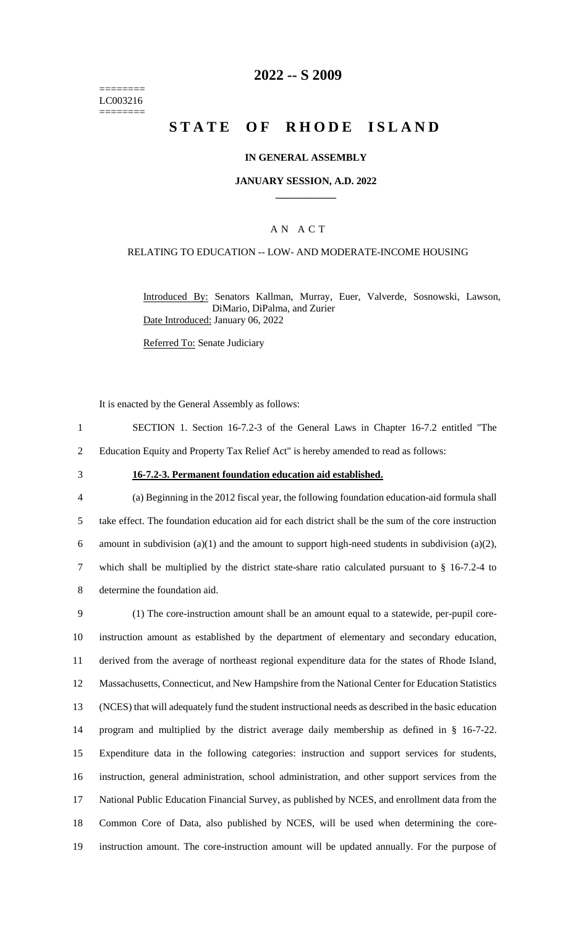======== LC003216 ========

## **2022 -- S 2009**

# **STATE OF RHODE ISLAND**

#### **IN GENERAL ASSEMBLY**

#### **JANUARY SESSION, A.D. 2022 \_\_\_\_\_\_\_\_\_\_\_\_**

### A N A C T

#### RELATING TO EDUCATION -- LOW- AND MODERATE-INCOME HOUSING

Introduced By: Senators Kallman, Murray, Euer, Valverde, Sosnowski, Lawson, DiMario, DiPalma, and Zurier Date Introduced: January 06, 2022

Referred To: Senate Judiciary

It is enacted by the General Assembly as follows:

1 SECTION 1. Section 16-7.2-3 of the General Laws in Chapter 16-7.2 entitled "The 2 Education Equity and Property Tax Relief Act" is hereby amended to read as follows:

#### 3 **16-7.2-3. Permanent foundation education aid established.**

 (a) Beginning in the 2012 fiscal year, the following foundation education-aid formula shall take effect. The foundation education aid for each district shall be the sum of the core instruction 6 amount in subdivision (a)(1) and the amount to support high-need students in subdivision (a)(2), which shall be multiplied by the district state-share ratio calculated pursuant to § 16-7.2-4 to determine the foundation aid.

 (1) The core-instruction amount shall be an amount equal to a statewide, per-pupil core- instruction amount as established by the department of elementary and secondary education, derived from the average of northeast regional expenditure data for the states of Rhode Island, Massachusetts, Connecticut, and New Hampshire from the National Center for Education Statistics (NCES) that will adequately fund the student instructional needs as described in the basic education program and multiplied by the district average daily membership as defined in § 16-7-22. Expenditure data in the following categories: instruction and support services for students, instruction, general administration, school administration, and other support services from the National Public Education Financial Survey, as published by NCES, and enrollment data from the Common Core of Data, also published by NCES, will be used when determining the core-instruction amount. The core-instruction amount will be updated annually. For the purpose of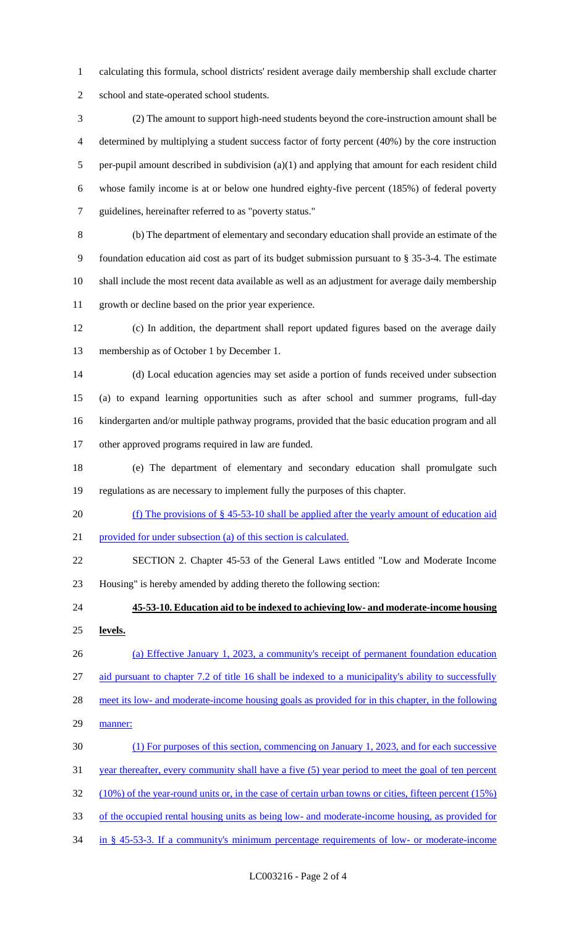calculating this formula, school districts' resident average daily membership shall exclude charter school and state-operated school students.

 (2) The amount to support high-need students beyond the core-instruction amount shall be determined by multiplying a student success factor of forty percent (40%) by the core instruction per-pupil amount described in subdivision (a)(1) and applying that amount for each resident child whose family income is at or below one hundred eighty-five percent (185%) of federal poverty guidelines, hereinafter referred to as "poverty status."

 (b) The department of elementary and secondary education shall provide an estimate of the foundation education aid cost as part of its budget submission pursuant to § 35-3-4. The estimate shall include the most recent data available as well as an adjustment for average daily membership growth or decline based on the prior year experience.

 (c) In addition, the department shall report updated figures based on the average daily membership as of October 1 by December 1.

 (d) Local education agencies may set aside a portion of funds received under subsection (a) to expand learning opportunities such as after school and summer programs, full-day kindergarten and/or multiple pathway programs, provided that the basic education program and all other approved programs required in law are funded.

 (e) The department of elementary and secondary education shall promulgate such regulations as are necessary to implement fully the purposes of this chapter.

(f) The provisions of § 45-53-10 shall be applied after the yearly amount of education aid

provided for under subsection (a) of this section is calculated.

 SECTION 2. Chapter 45-53 of the General Laws entitled "Low and Moderate Income Housing" is hereby amended by adding thereto the following section:

 **45-53-10. Education aid to be indexed to achieving low- and moderate-income housing levels.** 

 (a) Effective January 1, 2023, a community's receipt of permanent foundation education aid pursuant to chapter 7.2 of title 16 shall be indexed to a municipality's ability to successfully

28 meet its low- and moderate-income housing goals as provided for in this chapter, in the following

29 manner:

(1) For purposes of this section, commencing on January 1, 2023, and for each successive

31 year thereafter, every community shall have a five (5) year period to meet the goal of ten percent

(10%) of the year-round units or, in the case of certain urban towns or cities, fifteen percent (15%)

of the occupied rental housing units as being low- and moderate-income housing, as provided for

in § 45-53-3. If a community's minimum percentage requirements of low- or moderate-income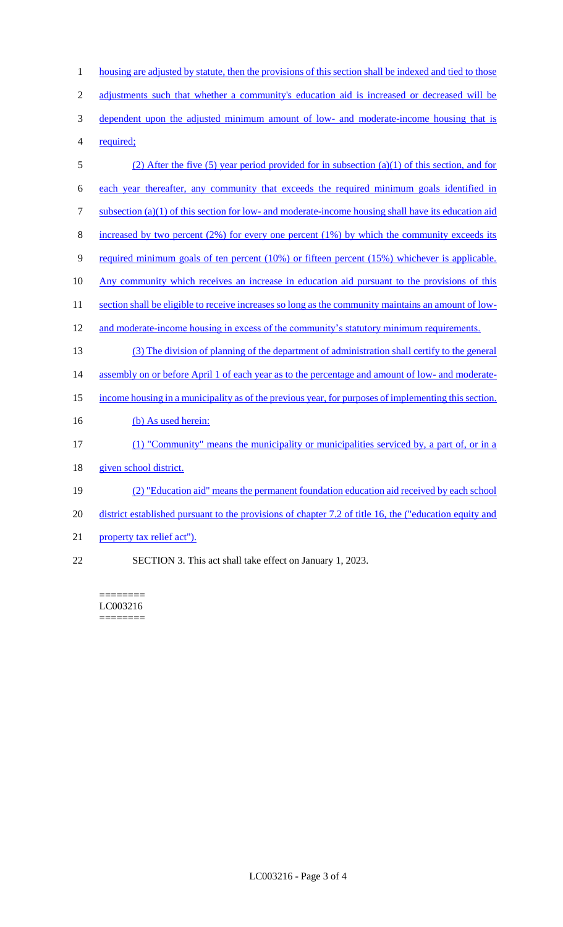1 housing are adjusted by statute, then the provisions of this section shall be indexed and tied to those 2 adjustments such that whether a community's education aid is increased or decreased will be 3 dependent upon the adjusted minimum amount of low- and moderate-income housing that is 4 required; 5 (2) After the five (5) year period provided for in subsection (a)(1) of this section, and for 6 each year thereafter, any community that exceeds the required minimum goals identified in 7 subsection (a)(1) of this section for low- and moderate-income housing shall have its education aid 8 increased by two percent  $(2\%)$  for every one percent  $(1\%)$  by which the community exceeds its 9 required minimum goals of ten percent (10%) or fifteen percent (15%) whichever is applicable. 10 Any community which receives an increase in education aid pursuant to the provisions of this 11 section shall be eligible to receive increases so long as the community maintains an amount of low-12 and moderate-income housing in excess of the community's statutory minimum requirements. 13 (3) The division of planning of the department of administration shall certify to the general 14 assembly on or before April 1 of each year as to the percentage and amount of low- and moderate-15 income housing in a municipality as of the previous year, for purposes of implementing this section. 16 (b) As used herein: 17 (1) "Community" means the municipality or municipalities serviced by, a part of, or in a 18 given school district. 19 (2) "Education aid" means the permanent foundation education aid received by each school 20 district established pursuant to the provisions of chapter 7.2 of title 16, the ("education equity and 21 property tax relief act").

22 SECTION 3. This act shall take effect on January 1, 2023.

======== LC003216 ========